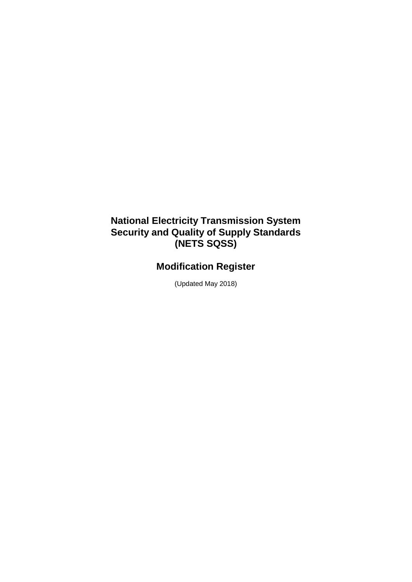## **National Electricity Transmission System Security and Quality of Supply Standards (NETS SQSS)**

# **Modification Register**

(Updated May 2018)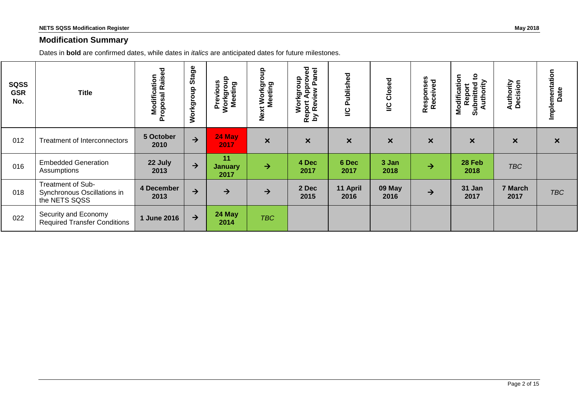#### **Modification Summary**

Dates in **bold** are confirmed dates, while dates in *italics* are anticipated dates for future milestones.

| <b>SQSS</b><br><b>GSR</b><br>No. | <b>Title</b>                                                      | <b>Modification</b><br>roposal Raised<br>Proposal | Stage<br>Workgroup | Previous<br>Workgroup<br>Meeting | $\frac{6}{5}$<br>Next Workgro<br>Meeting | Approved<br>anel<br>Workgroup<br>Ő.<br>eview<br>Report<br>by Rev | Published<br>2            | Closed<br>$\overline{c}$  | Responses<br>Received     | $\mathbf{S}$<br>Modification<br>Authority<br>Submitted<br>Report | Authority<br>Decision     | Implementation<br>Date    |
|----------------------------------|-------------------------------------------------------------------|---------------------------------------------------|--------------------|----------------------------------|------------------------------------------|------------------------------------------------------------------|---------------------------|---------------------------|---------------------------|------------------------------------------------------------------|---------------------------|---------------------------|
| 012                              | <b>Treatment of Interconnectors</b>                               | 5 October<br>2010                                 | $\rightarrow$      | 24 May<br>2017                   | $\boldsymbol{\mathsf{x}}$                | $\boldsymbol{\mathsf{x}}$                                        | $\boldsymbol{\mathsf{x}}$ | $\boldsymbol{\mathsf{x}}$ | $\boldsymbol{\mathsf{x}}$ | $\pmb{\times}$                                                   | $\boldsymbol{\mathsf{x}}$ | $\boldsymbol{\mathsf{x}}$ |
| 016                              | <b>Embedded Generation</b><br>Assumptions                         | 22 July<br>2013                                   | $\rightarrow$      | 11<br><b>January</b><br>2017     | $\rightarrow$                            | 4 Dec<br>2017                                                    | 6 Dec<br>2017             | 3 Jan<br>2018             | $\rightarrow$             | 28 Feb<br>2018                                                   | <b>TBC</b>                |                           |
| 018                              | Treatment of Sub-<br>Synchronous Oscillations in<br>the NETS SQSS | 4 December<br>2013                                | $\rightarrow$      | $\rightarrow$                    | $\rightarrow$                            | 2 Dec<br>2015                                                    | 11 April<br>2016          | 09 May<br>2016            | $\rightarrow$             | 31 Jan<br>2017                                                   | 7 March<br>2017           | <b>TBC</b>                |
| 022                              | Security and Economy<br><b>Required Transfer Conditions</b>       | 1 June 2016                                       | $\rightarrow$      | 24 May<br>2014                   | <b>TBC</b>                               |                                                                  |                           |                           |                           |                                                                  |                           |                           |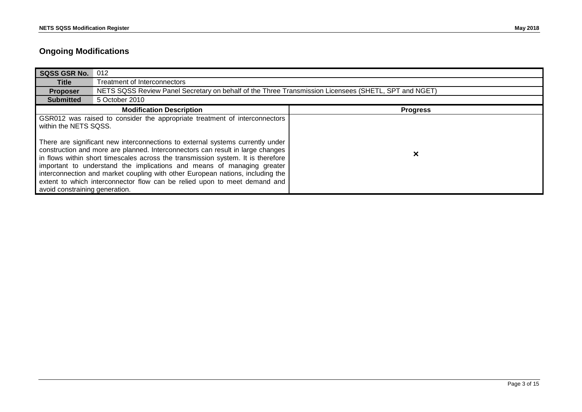### **Ongoing Modifications**

| <b>SQSS GSR No.</b>                                                                                                                                                                                                                                                                                                                                                                                                                                                                                                                                                                                                                    | 012                                                                                                  |                 |
|----------------------------------------------------------------------------------------------------------------------------------------------------------------------------------------------------------------------------------------------------------------------------------------------------------------------------------------------------------------------------------------------------------------------------------------------------------------------------------------------------------------------------------------------------------------------------------------------------------------------------------------|------------------------------------------------------------------------------------------------------|-----------------|
| Title                                                                                                                                                                                                                                                                                                                                                                                                                                                                                                                                                                                                                                  | <b>Treatment of Interconnectors</b>                                                                  |                 |
| <b>Proposer</b>                                                                                                                                                                                                                                                                                                                                                                                                                                                                                                                                                                                                                        | NETS SQSS Review Panel Secretary on behalf of the Three Transmission Licensees (SHETL, SPT and NGET) |                 |
| <b>Submitted</b>                                                                                                                                                                                                                                                                                                                                                                                                                                                                                                                                                                                                                       | 5 October 2010                                                                                       |                 |
|                                                                                                                                                                                                                                                                                                                                                                                                                                                                                                                                                                                                                                        | <b>Modification Description</b>                                                                      | <b>Progress</b> |
| GSR012 was raised to consider the appropriate treatment of interconnectors<br>within the NETS SQSS.<br>There are significant new interconnections to external systems currently under<br>construction and more are planned. Interconnectors can result in large changes<br>in flows within short timescales across the transmission system. It is therefore<br>important to understand the implications and means of managing greater<br>interconnection and market coupling with other European nations, including the<br>extent to which interconnector flow can be relied upon to meet demand and<br>avoid constraining generation. |                                                                                                      | ×               |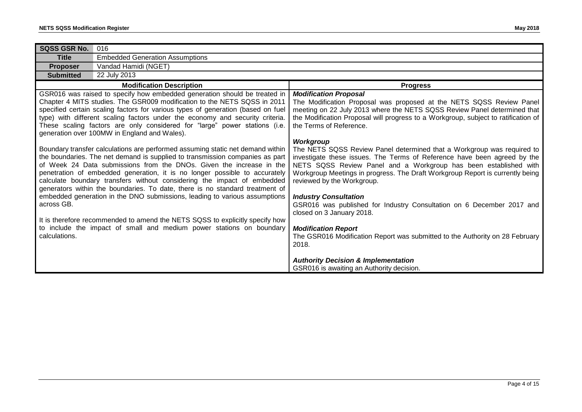| <b>SQSS GSR No.</b>         | 016                                                                                                                                                                                                                                                                                                                                                                                                                                                                                                                                                                                                                                                                                                                                                                                                                                                                                                                                                                                                                                                                                                                                                                               |                                                                                                                                                                                                                                                                                                                                                                                                                                                                                                                                                                                                                                                                                                                                                                                                                                                                                                                                                                                                                     |
|-----------------------------|-----------------------------------------------------------------------------------------------------------------------------------------------------------------------------------------------------------------------------------------------------------------------------------------------------------------------------------------------------------------------------------------------------------------------------------------------------------------------------------------------------------------------------------------------------------------------------------------------------------------------------------------------------------------------------------------------------------------------------------------------------------------------------------------------------------------------------------------------------------------------------------------------------------------------------------------------------------------------------------------------------------------------------------------------------------------------------------------------------------------------------------------------------------------------------------|---------------------------------------------------------------------------------------------------------------------------------------------------------------------------------------------------------------------------------------------------------------------------------------------------------------------------------------------------------------------------------------------------------------------------------------------------------------------------------------------------------------------------------------------------------------------------------------------------------------------------------------------------------------------------------------------------------------------------------------------------------------------------------------------------------------------------------------------------------------------------------------------------------------------------------------------------------------------------------------------------------------------|
| <b>Title</b>                | <b>Embedded Generation Assumptions</b>                                                                                                                                                                                                                                                                                                                                                                                                                                                                                                                                                                                                                                                                                                                                                                                                                                                                                                                                                                                                                                                                                                                                            |                                                                                                                                                                                                                                                                                                                                                                                                                                                                                                                                                                                                                                                                                                                                                                                                                                                                                                                                                                                                                     |
| <b>Proposer</b>             | Vandad Hamidi (NGET)                                                                                                                                                                                                                                                                                                                                                                                                                                                                                                                                                                                                                                                                                                                                                                                                                                                                                                                                                                                                                                                                                                                                                              |                                                                                                                                                                                                                                                                                                                                                                                                                                                                                                                                                                                                                                                                                                                                                                                                                                                                                                                                                                                                                     |
| <b>Submitted</b>            | 22 July 2013                                                                                                                                                                                                                                                                                                                                                                                                                                                                                                                                                                                                                                                                                                                                                                                                                                                                                                                                                                                                                                                                                                                                                                      |                                                                                                                                                                                                                                                                                                                                                                                                                                                                                                                                                                                                                                                                                                                                                                                                                                                                                                                                                                                                                     |
|                             | <b>Modification Description</b>                                                                                                                                                                                                                                                                                                                                                                                                                                                                                                                                                                                                                                                                                                                                                                                                                                                                                                                                                                                                                                                                                                                                                   | <b>Progress</b>                                                                                                                                                                                                                                                                                                                                                                                                                                                                                                                                                                                                                                                                                                                                                                                                                                                                                                                                                                                                     |
| across GB.<br>calculations. | GSR016 was raised to specify how embedded generation should be treated in<br>Chapter 4 MITS studies. The GSR009 modification to the NETS SQSS in 2011<br>specified certain scaling factors for various types of generation (based on fuel<br>type) with different scaling factors under the economy and security criteria.<br>These scaling factors are only considered for "large" power stations (i.e.<br>generation over 100MW in England and Wales).<br>Boundary transfer calculations are performed assuming static net demand within<br>the boundaries. The net demand is supplied to transmission companies as part<br>of Week 24 Data submissions from the DNOs. Given the increase in the<br>penetration of embedded generation, it is no longer possible to accurately<br>calculate boundary transfers without considering the impact of embedded<br>generators within the boundaries. To date, there is no standard treatment of<br>embedded generation in the DNO submissions, leading to various assumptions<br>It is therefore recommended to amend the NETS SQSS to explicitly specify how<br>to include the impact of small and medium power stations on boundary | <b>Modification Proposal</b><br>The Modification Proposal was proposed at the NETS SQSS Review Panel<br>meeting on 22 July 2013 where the NETS SQSS Review Panel determined that<br>the Modification Proposal will progress to a Workgroup, subject to ratification of<br>the Terms of Reference.<br>Workgroup<br>The NETS SQSS Review Panel determined that a Workgroup was required to<br>investigate these issues. The Terms of Reference have been agreed by the<br>NETS SQSS Review Panel and a Workgroup has been established with<br>Workgroup Meetings in progress. The Draft Workgroup Report is currently being<br>reviewed by the Workgroup.<br><b>Industry Consultation</b><br>GSR016 was published for Industry Consultation on 6 December 2017 and<br>closed on 3 January 2018.<br><b>Modification Report</b><br>The GSR016 Modification Report was submitted to the Authority on 28 February<br>2018.<br><b>Authority Decision &amp; Implementation</b><br>GSR016 is awaiting an Authority decision. |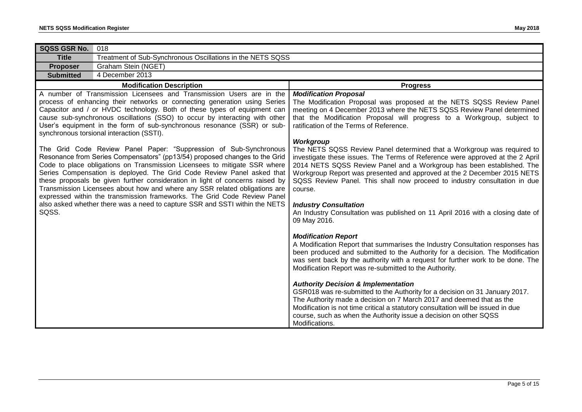| SQSS GSR No.<br>018                                                                                                                                                                                                                                                                                                                                                                                                                                                                                                                                                                                                              |                                                                                                                                                                                                                                                                                                                                                                                                                                                                                                                                                                                                                                                                                                                                                                                                              |
|----------------------------------------------------------------------------------------------------------------------------------------------------------------------------------------------------------------------------------------------------------------------------------------------------------------------------------------------------------------------------------------------------------------------------------------------------------------------------------------------------------------------------------------------------------------------------------------------------------------------------------|--------------------------------------------------------------------------------------------------------------------------------------------------------------------------------------------------------------------------------------------------------------------------------------------------------------------------------------------------------------------------------------------------------------------------------------------------------------------------------------------------------------------------------------------------------------------------------------------------------------------------------------------------------------------------------------------------------------------------------------------------------------------------------------------------------------|
| Treatment of Sub-Synchronous Oscillations in the NETS SQSS<br><b>Title</b>                                                                                                                                                                                                                                                                                                                                                                                                                                                                                                                                                       |                                                                                                                                                                                                                                                                                                                                                                                                                                                                                                                                                                                                                                                                                                                                                                                                              |
| Graham Stein (NGET)<br><b>Proposer</b>                                                                                                                                                                                                                                                                                                                                                                                                                                                                                                                                                                                           |                                                                                                                                                                                                                                                                                                                                                                                                                                                                                                                                                                                                                                                                                                                                                                                                              |
| 4 December 2013<br><b>Submitted</b>                                                                                                                                                                                                                                                                                                                                                                                                                                                                                                                                                                                              |                                                                                                                                                                                                                                                                                                                                                                                                                                                                                                                                                                                                                                                                                                                                                                                                              |
| <b>Modification Description</b>                                                                                                                                                                                                                                                                                                                                                                                                                                                                                                                                                                                                  | <b>Progress</b>                                                                                                                                                                                                                                                                                                                                                                                                                                                                                                                                                                                                                                                                                                                                                                                              |
| A number of Transmission Licensees and Transmission Users are in the<br>process of enhancing their networks or connecting generation using Series<br>Capacitor and / or HVDC technology. Both of these types of equipment can<br>cause sub-synchronous oscillations (SSO) to occur by interacting with other<br>User's equipment in the form of sub-synchronous resonance (SSR) or sub-<br>synchronous torsional interaction (SSTI).                                                                                                                                                                                             | <b>Modification Proposal</b><br>The Modification Proposal was proposed at the NETS SQSS Review Panel<br>meeting on 4 December 2013 where the NETS SQSS Review Panel determined<br>that the Modification Proposal will progress to a Workgroup, subject to<br>ratification of the Terms of Reference.                                                                                                                                                                                                                                                                                                                                                                                                                                                                                                         |
| The Grid Code Review Panel Paper: "Suppression of Sub-Synchronous<br>Resonance from Series Compensators" (pp13/54) proposed changes to the Grid<br>Code to place obligations on Transmission Licensees to mitigate SSR where<br>Series Compensation is deployed. The Grid Code Review Panel asked that<br>these proposals be given further consideration in light of concerns raised by<br>Transmission Licensees about how and where any SSR related obligations are<br>expressed within the transmission frameworks. The Grid Code Review Panel<br>also asked whether there was a need to capture SSR and SSTI within the NETS | Workgroup<br>The NETS SQSS Review Panel determined that a Workgroup was required to<br>investigate these issues. The Terms of Reference were approved at the 2 April<br>2014 NETS SQSS Review Panel and a Workgroup has been established. The<br>Workgroup Report was presented and approved at the 2 December 2015 NETS<br>SQSS Review Panel. This shall now proceed to industry consultation in due<br>course.<br><b>Industry Consultation</b>                                                                                                                                                                                                                                                                                                                                                             |
| SQSS.                                                                                                                                                                                                                                                                                                                                                                                                                                                                                                                                                                                                                            | An Industry Consultation was published on 11 April 2016 with a closing date of<br>09 May 2016.<br><b>Modification Report</b><br>A Modification Report that summarises the Industry Consultation responses has<br>been produced and submitted to the Authority for a decision. The Modification<br>was sent back by the authority with a request for further work to be done. The<br>Modification Report was re-submitted to the Authority.<br><b>Authority Decision &amp; Implementation</b><br>GSR018 was re-submitted to the Authority for a decision on 31 January 2017.<br>The Authority made a decision on 7 March 2017 and deemed that as the<br>Modification is not time critical a statutory consultation will be issued in due<br>course, such as when the Authority issue a decision on other SQSS |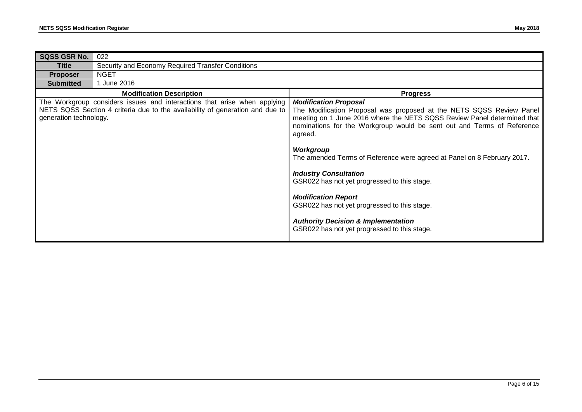| <b>SQSS GSR No.</b>    | 022                                                                                                                                                       |                                                                                                                                                                                                                                                                                                                                                                                                                                                                                                                                                                                                                              |
|------------------------|-----------------------------------------------------------------------------------------------------------------------------------------------------------|------------------------------------------------------------------------------------------------------------------------------------------------------------------------------------------------------------------------------------------------------------------------------------------------------------------------------------------------------------------------------------------------------------------------------------------------------------------------------------------------------------------------------------------------------------------------------------------------------------------------------|
|                        |                                                                                                                                                           |                                                                                                                                                                                                                                                                                                                                                                                                                                                                                                                                                                                                                              |
| <b>Title</b>           | Security and Economy Required Transfer Conditions                                                                                                         |                                                                                                                                                                                                                                                                                                                                                                                                                                                                                                                                                                                                                              |
| <b>Proposer</b>        | <b>NGET</b>                                                                                                                                               |                                                                                                                                                                                                                                                                                                                                                                                                                                                                                                                                                                                                                              |
| <b>Submitted</b>       | 1 June 2016                                                                                                                                               |                                                                                                                                                                                                                                                                                                                                                                                                                                                                                                                                                                                                                              |
|                        | <b>Modification Description</b>                                                                                                                           | <b>Progress</b>                                                                                                                                                                                                                                                                                                                                                                                                                                                                                                                                                                                                              |
| generation technology. | The Workgroup considers issues and interactions that arise when applying<br>NETS SQSS Section 4 criteria due to the availability of generation and due to | <b>Modification Proposal</b><br>The Modification Proposal was proposed at the NETS SQSS Review Panel<br>meeting on 1 June 2016 where the NETS SQSS Review Panel determined that<br>nominations for the Workgroup would be sent out and Terms of Reference<br>agreed.<br>Workgroup<br>The amended Terms of Reference were agreed at Panel on 8 February 2017.<br><b>Industry Consultation</b><br>GSR022 has not yet progressed to this stage.<br><b>Modification Report</b><br>GSR022 has not yet progressed to this stage.<br><b>Authority Decision &amp; Implementation</b><br>GSR022 has not yet progressed to this stage. |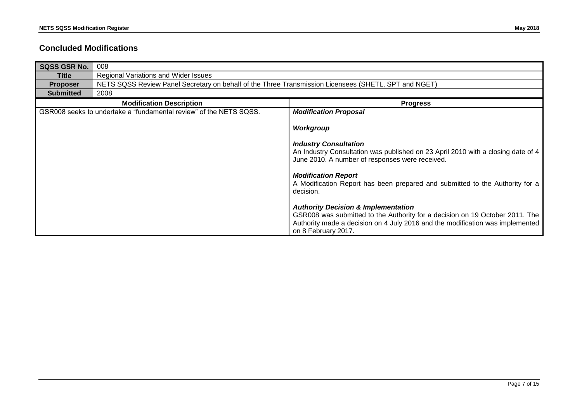#### **Concluded Modifications**

| <b>SQSS GSR No.</b> | 008                                                                                                  |                                                                                                                                                                                                                                        |  |
|---------------------|------------------------------------------------------------------------------------------------------|----------------------------------------------------------------------------------------------------------------------------------------------------------------------------------------------------------------------------------------|--|
| Title               | Regional Variations and Wider Issues                                                                 |                                                                                                                                                                                                                                        |  |
| <b>Proposer</b>     | NETS SQSS Review Panel Secretary on behalf of the Three Transmission Licensees (SHETL, SPT and NGET) |                                                                                                                                                                                                                                        |  |
| <b>Submitted</b>    | 2008                                                                                                 |                                                                                                                                                                                                                                        |  |
|                     | <b>Modification Description</b>                                                                      | <b>Progress</b>                                                                                                                                                                                                                        |  |
|                     | GSR008 seeks to undertake a "fundamental review" of the NETS SQSS.                                   | <b>Modification Proposal</b>                                                                                                                                                                                                           |  |
|                     |                                                                                                      | Workgroup                                                                                                                                                                                                                              |  |
|                     |                                                                                                      | <b>Industry Consultation</b><br>An Industry Consultation was published on 23 April 2010 with a closing date of 4<br>June 2010. A number of responses were received.                                                                    |  |
|                     |                                                                                                      | <b>Modification Report</b><br>A Modification Report has been prepared and submitted to the Authority for a<br>decision.                                                                                                                |  |
|                     |                                                                                                      | <b>Authority Decision &amp; Implementation</b><br>GSR008 was submitted to the Authority for a decision on 19 October 2011. The<br>Authority made a decision on 4 July 2016 and the modification was implemented<br>on 8 February 2017. |  |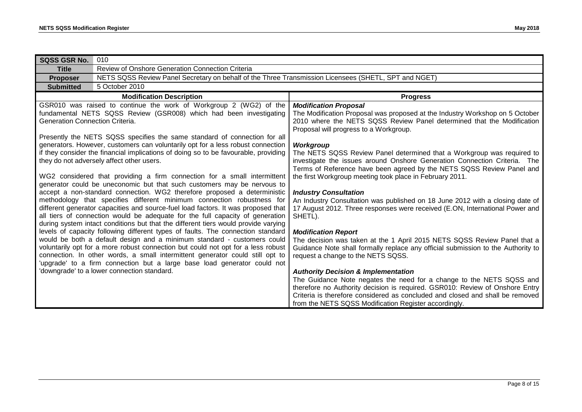| <b>SQSS GSR No.</b>             | 010                                                                                                                                                                                                                                                                                                                                                                                                                                                                                                                                                                                                                                                                                                                                                                                                                                                                                                                                                                                                                                                                                                                                                                                                                                                                                                                                                                                                                                                                                 |                                                                                                                                                                                                                                                                                                                                                                                                                                                                                                                                                                                                                                                                                                                                                                                                                                                                                                                                                                                                                                                                                                                                                                                                                                                                                      |
|---------------------------------|-------------------------------------------------------------------------------------------------------------------------------------------------------------------------------------------------------------------------------------------------------------------------------------------------------------------------------------------------------------------------------------------------------------------------------------------------------------------------------------------------------------------------------------------------------------------------------------------------------------------------------------------------------------------------------------------------------------------------------------------------------------------------------------------------------------------------------------------------------------------------------------------------------------------------------------------------------------------------------------------------------------------------------------------------------------------------------------------------------------------------------------------------------------------------------------------------------------------------------------------------------------------------------------------------------------------------------------------------------------------------------------------------------------------------------------------------------------------------------------|--------------------------------------------------------------------------------------------------------------------------------------------------------------------------------------------------------------------------------------------------------------------------------------------------------------------------------------------------------------------------------------------------------------------------------------------------------------------------------------------------------------------------------------------------------------------------------------------------------------------------------------------------------------------------------------------------------------------------------------------------------------------------------------------------------------------------------------------------------------------------------------------------------------------------------------------------------------------------------------------------------------------------------------------------------------------------------------------------------------------------------------------------------------------------------------------------------------------------------------------------------------------------------------|
| <b>Title</b>                    | Review of Onshore Generation Connection Criteria                                                                                                                                                                                                                                                                                                                                                                                                                                                                                                                                                                                                                                                                                                                                                                                                                                                                                                                                                                                                                                                                                                                                                                                                                                                                                                                                                                                                                                    |                                                                                                                                                                                                                                                                                                                                                                                                                                                                                                                                                                                                                                                                                                                                                                                                                                                                                                                                                                                                                                                                                                                                                                                                                                                                                      |
| <b>Proposer</b>                 | NETS SQSS Review Panel Secretary on behalf of the Three Transmission Licensees (SHETL, SPT and NGET)                                                                                                                                                                                                                                                                                                                                                                                                                                                                                                                                                                                                                                                                                                                                                                                                                                                                                                                                                                                                                                                                                                                                                                                                                                                                                                                                                                                |                                                                                                                                                                                                                                                                                                                                                                                                                                                                                                                                                                                                                                                                                                                                                                                                                                                                                                                                                                                                                                                                                                                                                                                                                                                                                      |
| <b>Submitted</b>                | 5 October 2010                                                                                                                                                                                                                                                                                                                                                                                                                                                                                                                                                                                                                                                                                                                                                                                                                                                                                                                                                                                                                                                                                                                                                                                                                                                                                                                                                                                                                                                                      |                                                                                                                                                                                                                                                                                                                                                                                                                                                                                                                                                                                                                                                                                                                                                                                                                                                                                                                                                                                                                                                                                                                                                                                                                                                                                      |
|                                 | <b>Modification Description</b>                                                                                                                                                                                                                                                                                                                                                                                                                                                                                                                                                                                                                                                                                                                                                                                                                                                                                                                                                                                                                                                                                                                                                                                                                                                                                                                                                                                                                                                     | <b>Progress</b>                                                                                                                                                                                                                                                                                                                                                                                                                                                                                                                                                                                                                                                                                                                                                                                                                                                                                                                                                                                                                                                                                                                                                                                                                                                                      |
| Generation Connection Criteria. | GSR010 was raised to continue the work of Workgroup 2 (WG2) of the<br>fundamental NETS SQSS Review (GSR008) which had been investigating<br>Presently the NETS SQSS specifies the same standard of connection for all<br>generators. However, customers can voluntarily opt for a less robust connection<br>if they consider the financial implications of doing so to be favourable, providing<br>they do not adversely affect other users.<br>WG2 considered that providing a firm connection for a small intermittent<br>generator could be uneconomic but that such customers may be nervous to<br>accept a non-standard connection. WG2 therefore proposed a deterministic<br>methodology that specifies different minimum connection robustness for<br>different generator capacities and source-fuel load factors. It was proposed that<br>all tiers of connection would be adequate for the full capacity of generation<br>during system intact conditions but that the different tiers would provide varying<br>levels of capacity following different types of faults. The connection standard<br>would be both a default design and a minimum standard - customers could<br>voluntarily opt for a more robust connection but could not opt for a less robust<br>connection. In other words, a small intermittent generator could still opt to<br>'upgrade' to a firm connection but a large base load generator could not<br>'downgrade' to a lower connection standard. | <b>Modification Proposal</b><br>The Modification Proposal was proposed at the Industry Workshop on 5 October<br>2010 where the NETS SQSS Review Panel determined that the Modification<br>Proposal will progress to a Workgroup.<br>Workgroup<br>The NETS SQSS Review Panel determined that a Workgroup was required to<br>investigate the issues around Onshore Generation Connection Criteria. The<br>Terms of Reference have been agreed by the NETS SQSS Review Panel and<br>the first Workgroup meeting took place in February 2011.<br><b>Industry Consultation</b><br>An Industry Consultation was published on 18 June 2012 with a closing date of<br>17 August 2012. Three responses were received (E.ON, International Power and<br>SHETL).<br><b>Modification Report</b><br>The decision was taken at the 1 April 2015 NETS SQSS Review Panel that a<br>Guidance Note shall formally replace any official submission to the Authority to<br>request a change to the NETS SQSS.<br><b>Authority Decision &amp; Implementation</b><br>The Guidance Note negates the need for a change to the NETS SQSS and<br>therefore no Authority decision is required. GSR010: Review of Onshore Entry<br>Criteria is therefore considered as concluded and closed and shall be removed |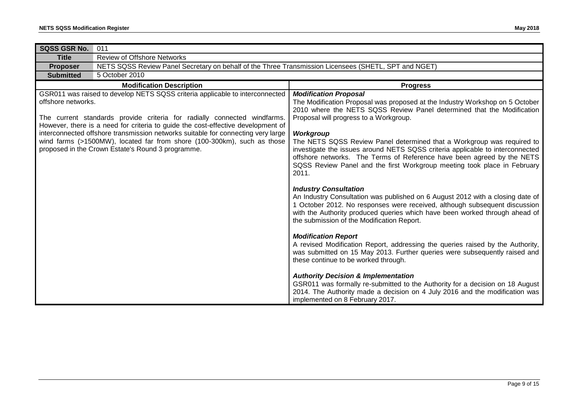| <b>SQSS GSR No.</b>                                                                                                                                                                                                                                                                                                                                                                                                                                                                    | 011                                                                                                  |                                                                                                                                                                                                                                                                                                                                                                                                                                                                                                                                                                         |
|----------------------------------------------------------------------------------------------------------------------------------------------------------------------------------------------------------------------------------------------------------------------------------------------------------------------------------------------------------------------------------------------------------------------------------------------------------------------------------------|------------------------------------------------------------------------------------------------------|-------------------------------------------------------------------------------------------------------------------------------------------------------------------------------------------------------------------------------------------------------------------------------------------------------------------------------------------------------------------------------------------------------------------------------------------------------------------------------------------------------------------------------------------------------------------------|
| <b>Title</b>                                                                                                                                                                                                                                                                                                                                                                                                                                                                           | <b>Review of Offshore Networks</b>                                                                   |                                                                                                                                                                                                                                                                                                                                                                                                                                                                                                                                                                         |
| <b>Proposer</b>                                                                                                                                                                                                                                                                                                                                                                                                                                                                        | NETS SQSS Review Panel Secretary on behalf of the Three Transmission Licensees (SHETL, SPT and NGET) |                                                                                                                                                                                                                                                                                                                                                                                                                                                                                                                                                                         |
| <b>Submitted</b>                                                                                                                                                                                                                                                                                                                                                                                                                                                                       | 5 October 2010                                                                                       |                                                                                                                                                                                                                                                                                                                                                                                                                                                                                                                                                                         |
| <b>Modification Description</b>                                                                                                                                                                                                                                                                                                                                                                                                                                                        |                                                                                                      | <b>Progress</b>                                                                                                                                                                                                                                                                                                                                                                                                                                                                                                                                                         |
| GSR011 was raised to develop NETS SQSS criteria applicable to interconnected<br>offshore networks.<br>The current standards provide criteria for radially connected windfarms.<br>However, there is a need for criteria to guide the cost-effective development of<br>interconnected offshore transmission networks suitable for connecting very large<br>wind farms (>1500MW), located far from shore (100-300km), such as those<br>proposed in the Crown Estate's Round 3 programme. |                                                                                                      | <b>Modification Proposal</b><br>The Modification Proposal was proposed at the Industry Workshop on 5 October<br>2010 where the NETS SQSS Review Panel determined that the Modification<br>Proposal will progress to a Workgroup.<br>Workgroup<br>The NETS SQSS Review Panel determined that a Workgroup was required to<br>investigate the issues around NETS SQSS criteria applicable to interconnected<br>offshore networks. The Terms of Reference have been agreed by the NETS<br>SQSS Review Panel and the first Workgroup meeting took place in February<br>2011. |
|                                                                                                                                                                                                                                                                                                                                                                                                                                                                                        |                                                                                                      | <b>Industry Consultation</b><br>An Industry Consultation was published on 6 August 2012 with a closing date of<br>1 October 2012. No responses were received, although subsequent discussion<br>with the Authority produced queries which have been worked through ahead of<br>the submission of the Modification Report.                                                                                                                                                                                                                                               |
|                                                                                                                                                                                                                                                                                                                                                                                                                                                                                        |                                                                                                      | <b>Modification Report</b><br>A revised Modification Report, addressing the queries raised by the Authority,<br>was submitted on 15 May 2013. Further queries were subsequently raised and<br>these continue to be worked through.                                                                                                                                                                                                                                                                                                                                      |
|                                                                                                                                                                                                                                                                                                                                                                                                                                                                                        |                                                                                                      | <b>Authority Decision &amp; Implementation</b><br>GSR011 was formally re-submitted to the Authority for a decision on 18 August<br>2014. The Authority made a decision on 4 July 2016 and the modification was<br>implemented on 8 February 2017.                                                                                                                                                                                                                                                                                                                       |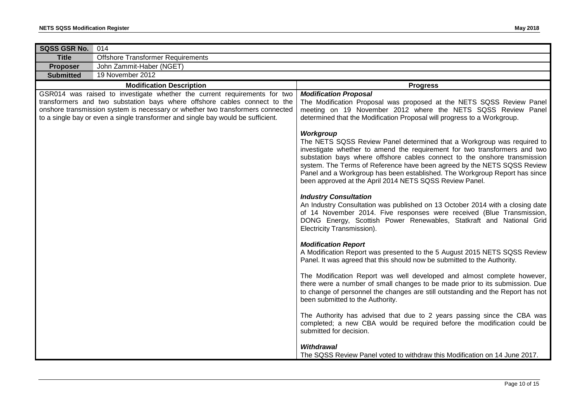| SQSS GSR No.<br>014                                                                                                                                                                                                                                                                                                          |                                                                                                                                                                                                                                                                                                                                                                                                                                                                   |
|------------------------------------------------------------------------------------------------------------------------------------------------------------------------------------------------------------------------------------------------------------------------------------------------------------------------------|-------------------------------------------------------------------------------------------------------------------------------------------------------------------------------------------------------------------------------------------------------------------------------------------------------------------------------------------------------------------------------------------------------------------------------------------------------------------|
| <b>Offshore Transformer Requirements</b><br><b>Title</b>                                                                                                                                                                                                                                                                     |                                                                                                                                                                                                                                                                                                                                                                                                                                                                   |
| John Zammit-Haber (NGET)<br><b>Proposer</b>                                                                                                                                                                                                                                                                                  |                                                                                                                                                                                                                                                                                                                                                                                                                                                                   |
| 19 November 2012<br><b>Submitted</b>                                                                                                                                                                                                                                                                                         |                                                                                                                                                                                                                                                                                                                                                                                                                                                                   |
| <b>Modification Description</b>                                                                                                                                                                                                                                                                                              | <b>Progress</b>                                                                                                                                                                                                                                                                                                                                                                                                                                                   |
| GSR014 was raised to investigate whether the current requirements for two<br>transformers and two substation bays where offshore cables connect to the<br>onshore transmission system is necessary or whether two transformers connected<br>to a single bay or even a single transformer and single bay would be sufficient. | <b>Modification Proposal</b><br>The Modification Proposal was proposed at the NETS SQSS Review Panel<br>meeting on 19 November 2012 where the NETS SQSS Review Panel<br>determined that the Modification Proposal will progress to a Workgroup.                                                                                                                                                                                                                   |
|                                                                                                                                                                                                                                                                                                                              | Workgroup<br>The NETS SQSS Review Panel determined that a Workgroup was required to<br>investigate whether to amend the requirement for two transformers and two<br>substation bays where offshore cables connect to the onshore transmission<br>system. The Terms of Reference have been agreed by the NETS SQSS Review<br>Panel and a Workgroup has been established. The Workgroup Report has since<br>been approved at the April 2014 NETS SQSS Review Panel. |
|                                                                                                                                                                                                                                                                                                                              | <b>Industry Consultation</b><br>An Industry Consultation was published on 13 October 2014 with a closing date<br>of 14 November 2014. Five responses were received (Blue Transmission,<br>DONG Energy, Scottish Power Renewables, Statkraft and National Grid<br>Electricity Transmission).                                                                                                                                                                       |
|                                                                                                                                                                                                                                                                                                                              | <b>Modification Report</b><br>A Modification Report was presented to the 5 August 2015 NETS SQSS Review<br>Panel. It was agreed that this should now be submitted to the Authority.                                                                                                                                                                                                                                                                               |
|                                                                                                                                                                                                                                                                                                                              | The Modification Report was well developed and almost complete however,<br>there were a number of small changes to be made prior to its submission. Due<br>to change of personnel the changes are still outstanding and the Report has not<br>been submitted to the Authority.                                                                                                                                                                                    |
|                                                                                                                                                                                                                                                                                                                              | The Authority has advised that due to 2 years passing since the CBA was<br>completed; a new CBA would be required before the modification could be<br>submitted for decision.                                                                                                                                                                                                                                                                                     |
|                                                                                                                                                                                                                                                                                                                              | <b>Withdrawal</b><br>The SQSS Review Panel voted to withdraw this Modification on 14 June 2017.                                                                                                                                                                                                                                                                                                                                                                   |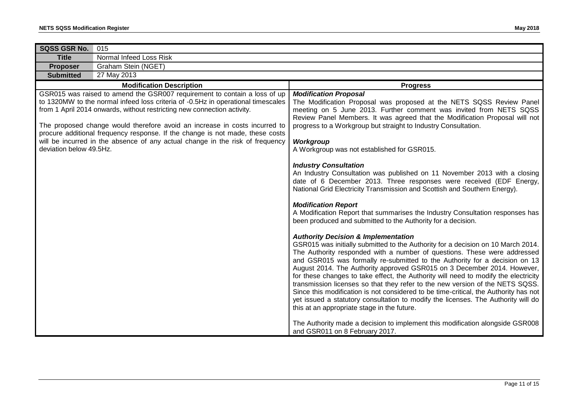| SQSS GSR No.            | 015                                                                                                                                                                                                                                                                                                                                                                                                                                                                                      |                                                                                                                                                                                                                                                                                                                                                                                                                                                                                                                                                                                                                                                                                                                                                                                                                                                                                                                                                                                                                                                                                                                                                                                                                                                                                                                                                                                                                                                                                                                                                                                                                        |
|-------------------------|------------------------------------------------------------------------------------------------------------------------------------------------------------------------------------------------------------------------------------------------------------------------------------------------------------------------------------------------------------------------------------------------------------------------------------------------------------------------------------------|------------------------------------------------------------------------------------------------------------------------------------------------------------------------------------------------------------------------------------------------------------------------------------------------------------------------------------------------------------------------------------------------------------------------------------------------------------------------------------------------------------------------------------------------------------------------------------------------------------------------------------------------------------------------------------------------------------------------------------------------------------------------------------------------------------------------------------------------------------------------------------------------------------------------------------------------------------------------------------------------------------------------------------------------------------------------------------------------------------------------------------------------------------------------------------------------------------------------------------------------------------------------------------------------------------------------------------------------------------------------------------------------------------------------------------------------------------------------------------------------------------------------------------------------------------------------------------------------------------------------|
| <b>Title</b>            | Normal Infeed Loss Risk                                                                                                                                                                                                                                                                                                                                                                                                                                                                  |                                                                                                                                                                                                                                                                                                                                                                                                                                                                                                                                                                                                                                                                                                                                                                                                                                                                                                                                                                                                                                                                                                                                                                                                                                                                                                                                                                                                                                                                                                                                                                                                                        |
| <b>Proposer</b>         | Graham Stein (NGET)                                                                                                                                                                                                                                                                                                                                                                                                                                                                      |                                                                                                                                                                                                                                                                                                                                                                                                                                                                                                                                                                                                                                                                                                                                                                                                                                                                                                                                                                                                                                                                                                                                                                                                                                                                                                                                                                                                                                                                                                                                                                                                                        |
| <b>Submitted</b>        | 27 May 2013                                                                                                                                                                                                                                                                                                                                                                                                                                                                              |                                                                                                                                                                                                                                                                                                                                                                                                                                                                                                                                                                                                                                                                                                                                                                                                                                                                                                                                                                                                                                                                                                                                                                                                                                                                                                                                                                                                                                                                                                                                                                                                                        |
|                         | <b>Modification Description</b>                                                                                                                                                                                                                                                                                                                                                                                                                                                          | <b>Progress</b>                                                                                                                                                                                                                                                                                                                                                                                                                                                                                                                                                                                                                                                                                                                                                                                                                                                                                                                                                                                                                                                                                                                                                                                                                                                                                                                                                                                                                                                                                                                                                                                                        |
| deviation below 49.5Hz. | GSR015 was raised to amend the GSR007 requirement to contain a loss of up<br>to 1320MW to the normal infeed loss criteria of -0.5Hz in operational timescales<br>from 1 April 2014 onwards, without restricting new connection activity.<br>The proposed change would therefore avoid an increase in costs incurred to<br>procure additional frequency response. If the change is not made, these costs<br>will be incurred in the absence of any actual change in the risk of frequency | <b>Modification Proposal</b><br>The Modification Proposal was proposed at the NETS SQSS Review Panel<br>meeting on 5 June 2013. Further comment was invited from NETS SQSS<br>Review Panel Members. It was agreed that the Modification Proposal will not<br>progress to a Workgroup but straight to Industry Consultation.<br>Workgroup<br>A Workgroup was not established for GSR015.<br><b>Industry Consultation</b><br>An Industry Consultation was published on 11 November 2013 with a closing<br>date of 6 December 2013. Three responses were received (EDF Energy,<br>National Grid Electricity Transmission and Scottish and Southern Energy).<br><b>Modification Report</b><br>A Modification Report that summarises the Industry Consultation responses has<br>been produced and submitted to the Authority for a decision.<br><b>Authority Decision &amp; Implementation</b><br>GSR015 was initially submitted to the Authority for a decision on 10 March 2014.<br>The Authority responded with a number of questions. These were addressed<br>and GSR015 was formally re-submitted to the Authority for a decision on 13<br>August 2014. The Authority approved GSR015 on 3 December 2014. However,<br>for these changes to take effect, the Authority will need to modify the electricity<br>transmission licenses so that they refer to the new version of the NETS SQSS.<br>Since this modification is not considered to be time-critical, the Authority has not<br>yet issued a statutory consultation to modify the licenses. The Authority will do<br>this at an appropriate stage in the future. |
|                         |                                                                                                                                                                                                                                                                                                                                                                                                                                                                                          | The Authority made a decision to implement this modification alongside GSR008<br>and GSR011 on 8 February 2017.                                                                                                                                                                                                                                                                                                                                                                                                                                                                                                                                                                                                                                                                                                                                                                                                                                                                                                                                                                                                                                                                                                                                                                                                                                                                                                                                                                                                                                                                                                        |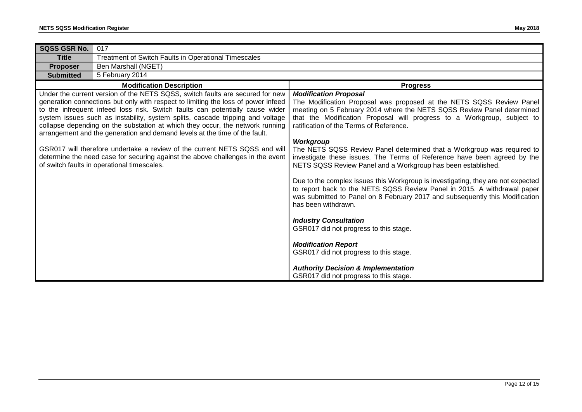| SQSS GSR No.     | 017                                                                                                                                                         |                                                                                  |
|------------------|-------------------------------------------------------------------------------------------------------------------------------------------------------------|----------------------------------------------------------------------------------|
| <b>Title</b>     | Treatment of Switch Faults in Operational Timescales                                                                                                        |                                                                                  |
|                  |                                                                                                                                                             |                                                                                  |
| <b>Proposer</b>  | Ben Marshall (NGET)                                                                                                                                         |                                                                                  |
| <b>Submitted</b> | 5 February 2014                                                                                                                                             |                                                                                  |
|                  | <b>Modification Description</b>                                                                                                                             | <b>Progress</b>                                                                  |
|                  | Under the current version of the NETS SQSS, switch faults are secured for new                                                                               | <b>Modification Proposal</b>                                                     |
|                  | generation connections but only with respect to limiting the loss of power infeed                                                                           | The Modification Proposal was proposed at the NETS SQSS Review Panel             |
|                  | to the infrequent infeed loss risk. Switch faults can potentially cause wider                                                                               | meeting on 5 February 2014 where the NETS SQSS Review Panel determined           |
|                  | system issues such as instability, system splits, cascade tripping and voltage                                                                              | that the Modification Proposal will progress to a Workgroup, subject to          |
|                  | collapse depending on the substation at which they occur, the network running<br>arrangement and the generation and demand levels at the time of the fault. | ratification of the Terms of Reference.                                          |
|                  |                                                                                                                                                             | <b>Workgroup</b>                                                                 |
|                  | GSR017 will therefore undertake a review of the current NETS SQSS and will                                                                                  | The NETS SQSS Review Panel determined that a Workgroup was required to           |
|                  | determine the need case for securing against the above challenges in the event                                                                              | investigate these issues. The Terms of Reference have been agreed by the         |
|                  | of switch faults in operational timescales.                                                                                                                 | NETS SQSS Review Panel and a Workgroup has been established.                     |
|                  |                                                                                                                                                             |                                                                                  |
|                  |                                                                                                                                                             | Due to the complex issues this Workgroup is investigating, they are not expected |
|                  |                                                                                                                                                             | to report back to the NETS SQSS Review Panel in 2015. A withdrawal paper         |
|                  |                                                                                                                                                             | was submitted to Panel on 8 February 2017 and subsequently this Modification     |
|                  |                                                                                                                                                             | has been withdrawn.                                                              |
|                  |                                                                                                                                                             |                                                                                  |
|                  |                                                                                                                                                             | <b>Industry Consultation</b>                                                     |
|                  |                                                                                                                                                             | GSR017 did not progress to this stage.                                           |
|                  |                                                                                                                                                             |                                                                                  |
|                  |                                                                                                                                                             | <b>Modification Report</b><br>GSR017 did not progress to this stage.             |
|                  |                                                                                                                                                             |                                                                                  |
|                  |                                                                                                                                                             | <b>Authority Decision &amp; Implementation</b>                                   |
|                  |                                                                                                                                                             | GSR017 did not progress to this stage.                                           |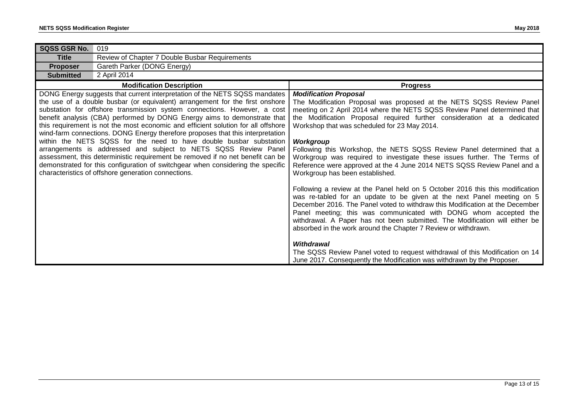| <b>SQSS GSR No.</b>                                                                                                                                                                                                                                                                                                                                                                                                                                                                                                                                                                                                                                                                                                                                                                                                                                            | 019                                            |                                                                                                                                                                                                                                                                                                                                                                                                                                                                                                                                                                                                                                              |
|----------------------------------------------------------------------------------------------------------------------------------------------------------------------------------------------------------------------------------------------------------------------------------------------------------------------------------------------------------------------------------------------------------------------------------------------------------------------------------------------------------------------------------------------------------------------------------------------------------------------------------------------------------------------------------------------------------------------------------------------------------------------------------------------------------------------------------------------------------------|------------------------------------------------|----------------------------------------------------------------------------------------------------------------------------------------------------------------------------------------------------------------------------------------------------------------------------------------------------------------------------------------------------------------------------------------------------------------------------------------------------------------------------------------------------------------------------------------------------------------------------------------------------------------------------------------------|
| <b>Title</b>                                                                                                                                                                                                                                                                                                                                                                                                                                                                                                                                                                                                                                                                                                                                                                                                                                                   | Review of Chapter 7 Double Busbar Requirements |                                                                                                                                                                                                                                                                                                                                                                                                                                                                                                                                                                                                                                              |
| <b>Proposer</b>                                                                                                                                                                                                                                                                                                                                                                                                                                                                                                                                                                                                                                                                                                                                                                                                                                                | Gareth Parker (DONG Energy)                    |                                                                                                                                                                                                                                                                                                                                                                                                                                                                                                                                                                                                                                              |
| <b>Submitted</b>                                                                                                                                                                                                                                                                                                                                                                                                                                                                                                                                                                                                                                                                                                                                                                                                                                               | 2 April 2014                                   |                                                                                                                                                                                                                                                                                                                                                                                                                                                                                                                                                                                                                                              |
|                                                                                                                                                                                                                                                                                                                                                                                                                                                                                                                                                                                                                                                                                                                                                                                                                                                                | <b>Modification Description</b>                | <b>Progress</b>                                                                                                                                                                                                                                                                                                                                                                                                                                                                                                                                                                                                                              |
| DONG Energy suggests that current interpretation of the NETS SQSS mandates<br>the use of a double busbar (or equivalent) arrangement for the first onshore<br>substation for offshore transmission system connections. However, a cost<br>benefit analysis (CBA) performed by DONG Energy aims to demonstrate that<br>this requirement is not the most economic and efficient solution for all offshore<br>wind-farm connections. DONG Energy therefore proposes that this interpretation<br>within the NETS SQSS for the need to have double busbar substation<br>arrangements is addressed and subject to NETS SQSS Review Panel<br>assessment, this deterministic requirement be removed if no net benefit can be<br>demonstrated for this configuration of switchgear when considering the specific<br>characteristics of offshore generation connections. |                                                | <b>Modification Proposal</b><br>The Modification Proposal was proposed at the NETS SQSS Review Panel<br>meeting on 2 April 2014 where the NETS SQSS Review Panel determined that<br>the Modification Proposal required further consideration at a dedicated<br>Workshop that was scheduled for 23 May 2014.<br><b>Workgroup</b><br>Following this Workshop, the NETS SQSS Review Panel determined that a<br>Workgroup was required to investigate these issues further. The Terms of<br>Reference were approved at the 4 June 2014 NETS SQSS Review Panel and a<br>Workgroup has been established.                                           |
|                                                                                                                                                                                                                                                                                                                                                                                                                                                                                                                                                                                                                                                                                                                                                                                                                                                                |                                                | Following a review at the Panel held on 5 October 2016 this this modification<br>was re-tabled for an update to be given at the next Panel meeting on 5<br>December 2016. The Panel voted to withdraw this Modification at the December<br>Panel meeting; this was communicated with DONG whom accepted the<br>withdrawal. A Paper has not been submitted. The Modification will either be<br>absorbed in the work around the Chapter 7 Review or withdrawn.<br><b>Withdrawal</b><br>The SQSS Review Panel voted to request withdrawal of this Modification on 14<br>June 2017. Consequently the Modification was withdrawn by the Proposer. |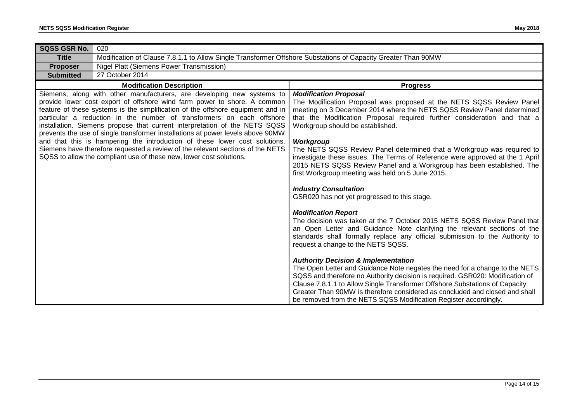| SQSS GSR No.                                                                                                                                                                                                                                                                                                                                                                                                                                                                                                                                                                                                                                                                                                           | 020                                                                                                           |                                                                                                                                                                                                                                                                                                                                                                                                                                                                                                                                                                                                            |
|------------------------------------------------------------------------------------------------------------------------------------------------------------------------------------------------------------------------------------------------------------------------------------------------------------------------------------------------------------------------------------------------------------------------------------------------------------------------------------------------------------------------------------------------------------------------------------------------------------------------------------------------------------------------------------------------------------------------|---------------------------------------------------------------------------------------------------------------|------------------------------------------------------------------------------------------------------------------------------------------------------------------------------------------------------------------------------------------------------------------------------------------------------------------------------------------------------------------------------------------------------------------------------------------------------------------------------------------------------------------------------------------------------------------------------------------------------------|
| <b>Title</b>                                                                                                                                                                                                                                                                                                                                                                                                                                                                                                                                                                                                                                                                                                           | Modification of Clause 7.8.1.1 to Allow Single Transformer Offshore Substations of Capacity Greater Than 90MW |                                                                                                                                                                                                                                                                                                                                                                                                                                                                                                                                                                                                            |
| <b>Proposer</b>                                                                                                                                                                                                                                                                                                                                                                                                                                                                                                                                                                                                                                                                                                        | <b>Nigel Platt (Siemens Power Transmission)</b>                                                               |                                                                                                                                                                                                                                                                                                                                                                                                                                                                                                                                                                                                            |
| <b>Submitted</b>                                                                                                                                                                                                                                                                                                                                                                                                                                                                                                                                                                                                                                                                                                       | 27 October 2014                                                                                               |                                                                                                                                                                                                                                                                                                                                                                                                                                                                                                                                                                                                            |
|                                                                                                                                                                                                                                                                                                                                                                                                                                                                                                                                                                                                                                                                                                                        | <b>Modification Description</b>                                                                               | <b>Progress</b>                                                                                                                                                                                                                                                                                                                                                                                                                                                                                                                                                                                            |
| Siemens, along with other manufacturers, are developing new systems to<br>provide lower cost export of offshore wind farm power to shore. A common<br>feature of these systems is the simplification of the offshore equipment and in<br>particular a reduction in the number of transformers on each offshore<br>installation. Siemens propose that current interpretation of the NETS SQSS<br>prevents the use of single transformer installations at power levels above 90MW<br>and that this is hampering the introduction of these lower cost solutions.<br>Siemens have therefore requested a review of the relevant sections of the NETS<br>SQSS to allow the compliant use of these new, lower cost solutions. |                                                                                                               | <b>Modification Proposal</b><br>The Modification Proposal was proposed at the NETS SQSS Review Panel<br>meeting on 3 December 2014 where the NETS SQSS Review Panel determined<br>that the Modification Proposal required further consideration and that a<br>Workgroup should be established.<br><b>Workgroup</b><br>The NETS SQSS Review Panel determined that a Workgroup was required to<br>investigate these issues. The Terms of Reference were approved at the 1 April<br>2015 NETS SQSS Review Panel and a Workgroup has been established. The<br>first Workgroup meeting was held on 5 June 2015. |
|                                                                                                                                                                                                                                                                                                                                                                                                                                                                                                                                                                                                                                                                                                                        |                                                                                                               | <b>Industry Consultation</b><br>GSR020 has not yet progressed to this stage.                                                                                                                                                                                                                                                                                                                                                                                                                                                                                                                               |
|                                                                                                                                                                                                                                                                                                                                                                                                                                                                                                                                                                                                                                                                                                                        |                                                                                                               | <b>Modification Report</b><br>The decision was taken at the 7 October 2015 NETS SQSS Review Panel that<br>an Open Letter and Guidance Note clarifying the relevant sections of the<br>standards shall formally replace any official submission to the Authority to<br>request a change to the NETS SQSS.                                                                                                                                                                                                                                                                                                   |
|                                                                                                                                                                                                                                                                                                                                                                                                                                                                                                                                                                                                                                                                                                                        |                                                                                                               | <b>Authority Decision &amp; Implementation</b><br>The Open Letter and Guidance Note negates the need for a change to the NETS<br>SQSS and therefore no Authority decision is required. GSR020: Modification of<br>Clause 7.8.1.1 to Allow Single Transformer Offshore Substations of Capacity<br>Greater Than 90MW is therefore considered as concluded and closed and shall<br>be removed from the NETS SQSS Modification Register accordingly.                                                                                                                                                           |